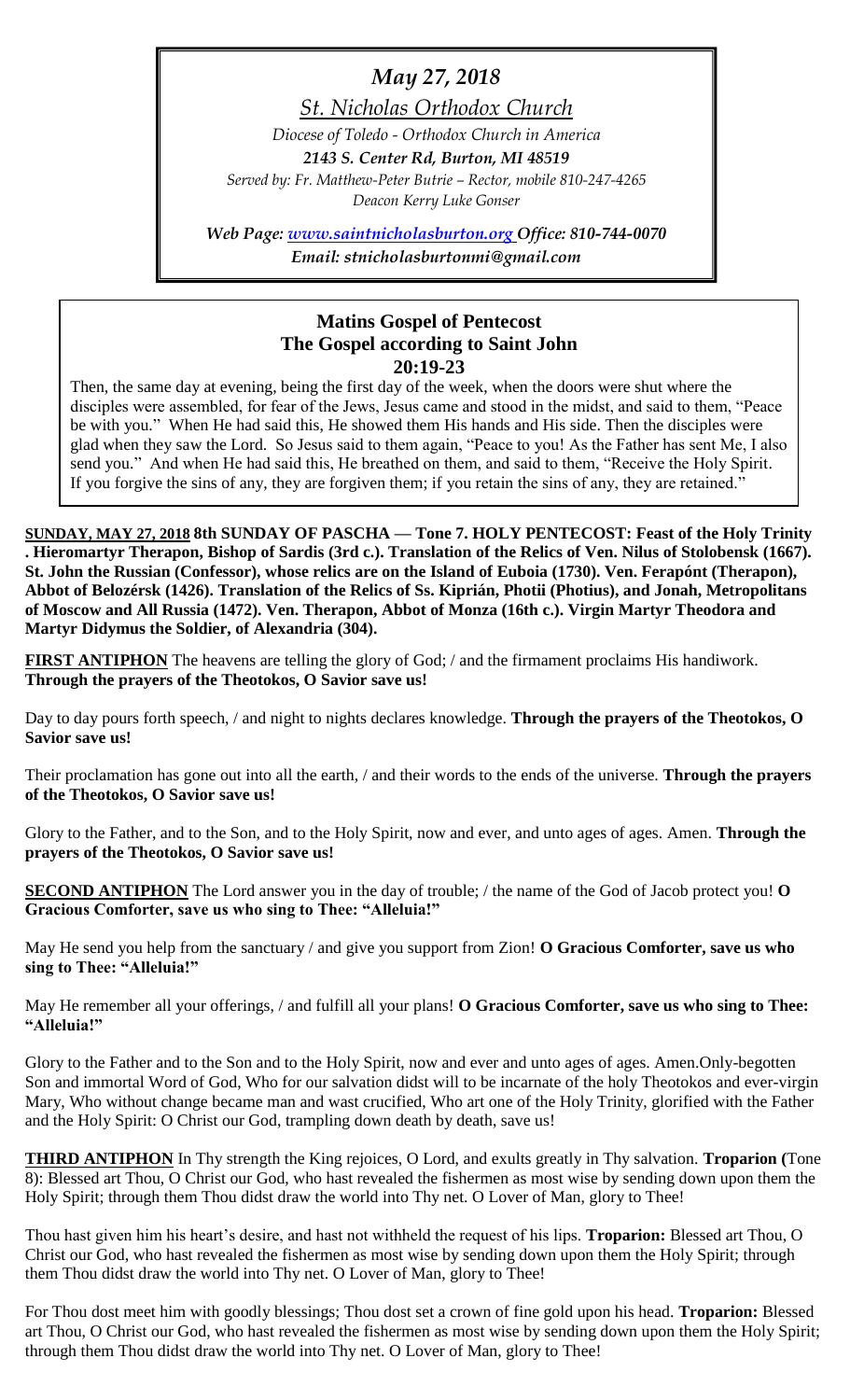# *May 27, 2018*

*St. Nicholas Orthodox Church*

*Diocese of Toledo - Orthodox Church in America*

*2143 S. Center Rd, Burton, MI 48519*

*Served by: Fr. Matthew-Peter Butrie – Rector, mobile 810-247-4265 Deacon Kerry Luke Gonser*

*Web Page: [www.saintnicholasburton.org](http://www.saintnicholasburton.org/) Office: 810-744-0070 Email: stnicholasburtonmi@gmail.com*

## **Matins Gospel of Pentecost The Gospel according to Saint John 20:19-23**

Then, the same day at evening, being the first day of the week, when the doors were shut where the disciples were assembled, for fear of the Jews, Jesus came and stood in the midst, and said to them, "Peace be with you." When He had said this, He showed them His hands and His side. Then the disciples were glad when they saw the Lord. So Jesus said to them again, "Peace to you! As the Father has sent Me, I also send you." And when He had said this, He breathed on them, and said to them, "Receive the Holy Spirit. If you forgive the sins of any, they are forgiven them; if you retain the sins of any, they are retained."

**SUNDAY, MAY 27, 2018 8th SUNDAY OF PASCHA — Tone 7. HOLY PENTECOST: Feast of the Holy Trinity . Hieromartyr Therapon, Bishop of Sardis (3rd c.). Translation of the Relics of Ven. Nilus of Stolobensk (1667). St. John the Russian (Confessor), whose relics are on the Island of Euboia (1730). Ven. Ferapónt (Therapon), Abbot of Belozérsk (1426). Translation of the Relics of Ss. Kiprián, Photii (Photius), and Jonah, Metropolitans of Moscow and All Russia (1472). Ven. Therapon, Abbot of Monza (16th c.). Virgin Martyr Theodora and Martyr Didymus the Soldier, of Alexandria (304).** 

**FIRST ANTIPHON** The heavens are telling the glory of God; / and the firmament proclaims His handiwork. **Through the prayers of the Theotokos, O Savior save us!** 

Day to day pours forth speech, / and night to nights declares knowledge. **Through the prayers of the Theotokos, O Savior save us!** 

Their proclamation has gone out into all the earth, / and their words to the ends of the universe. **Through the prayers of the Theotokos, O Savior save us!** 

Glory to the Father, and to the Son, and to the Holy Spirit, now and ever, and unto ages of ages. Amen. **Through the prayers of the Theotokos, O Savior save us!** 

**SECOND ANTIPHON** The Lord answer you in the day of trouble; / the name of the God of Jacob protect you! **O Gracious Comforter, save us who sing to Thee: "Alleluia!"** 

May He send you help from the sanctuary / and give you support from Zion! **O Gracious Comforter, save us who sing to Thee: "Alleluia!"** 

May He remember all your offerings, / and fulfill all your plans! **O Gracious Comforter, save us who sing to Thee: "Alleluia!"**

Glory to the Father and to the Son and to the Holy Spirit, now and ever and unto ages of ages. Amen.Only-begotten Son and immortal Word of God, Who for our salvation didst will to be incarnate of the holy Theotokos and ever-virgin Mary, Who without change became man and wast crucified, Who art one of the Holy Trinity, glorified with the Father and the Holy Spirit: O Christ our God, trampling down death by death, save us!

**THIRD ANTIPHON** In Thy strength the King rejoices, O Lord, and exults greatly in Thy salvation. **Troparion (**Tone 8): Blessed art Thou, O Christ our God, who hast revealed the fishermen as most wise by sending down upon them the Holy Spirit; through them Thou didst draw the world into Thy net. O Lover of Man, glory to Thee!

Thou hast given him his heart's desire, and hast not withheld the request of his lips. **Troparion:** Blessed art Thou, O Christ our God, who hast revealed the fishermen as most wise by sending down upon them the Holy Spirit; through them Thou didst draw the world into Thy net. O Lover of Man, glory to Thee!

For Thou dost meet him with goodly blessings; Thou dost set a crown of fine gold upon his head. **Troparion:** Blessed art Thou, O Christ our God, who hast revealed the fishermen as most wise by sending down upon them the Holy Spirit; through them Thou didst draw the world into Thy net. O Lover of Man, glory to Thee!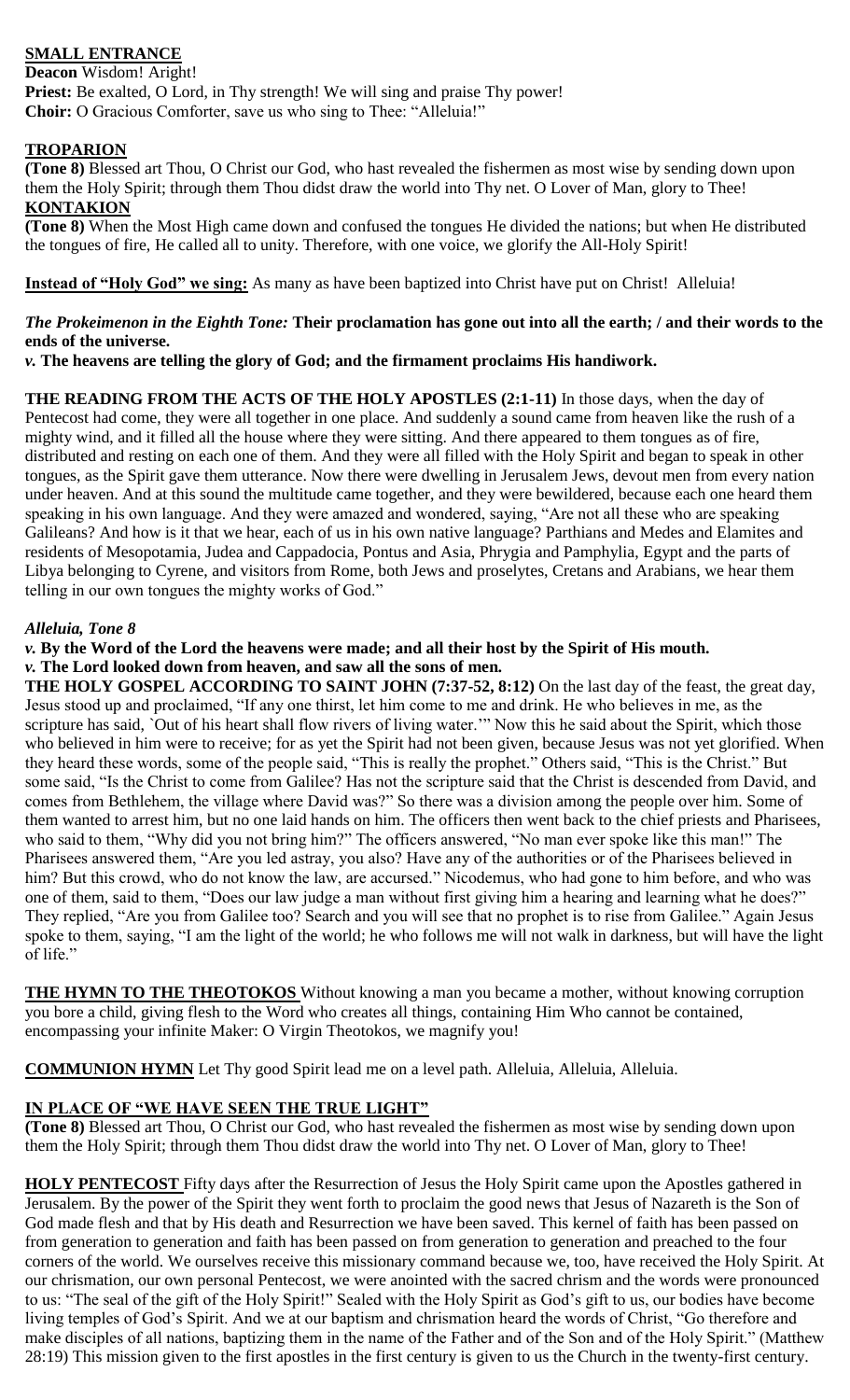### **SMALL ENTRANCE**

**Deacon** Wisdom! Aright! Priest: Be exalted, O Lord, in Thy strength! We will sing and praise Thy power! **Choir:** O Gracious Comforter, save us who sing to Thee: "Alleluia!"

#### **TROPARION**

**(Tone 8)** Blessed art Thou, O Christ our God, who hast revealed the fishermen as most wise by sending down upon them the Holy Spirit; through them Thou didst draw the world into Thy net. O Lover of Man, glory to Thee! **KONTAKION**

**(Tone 8)** When the Most High came down and confused the tongues He divided the nations; but when He distributed the tongues of fire, He called all to unity. Therefore, with one voice, we glorify the All-Holy Spirit!

**Instead of "Holy God" we sing:** As many as have been baptized into Christ have put on Christ! Alleluia!

#### *The Prokeimenon in the Eighth Tone:* **Their proclamation has gone out into all the earth; / and their words to the ends of the universe.**

*v.* **The heavens are telling the glory of God; and the firmament proclaims His handiwork.** 

**THE READING FROM THE ACTS OF THE HOLY APOSTLES (2:1-11)** In those days, when the day of Pentecost had come, they were all together in one place. And suddenly a sound came from heaven like the rush of a mighty wind, and it filled all the house where they were sitting. And there appeared to them tongues as of fire, distributed and resting on each one of them. And they were all filled with the Holy Spirit and began to speak in other tongues, as the Spirit gave them utterance. Now there were dwelling in Jerusalem Jews, devout men from every nation under heaven. And at this sound the multitude came together, and they were bewildered, because each one heard them speaking in his own language. And they were amazed and wondered, saying, "Are not all these who are speaking Galileans? And how is it that we hear, each of us in his own native language? Parthians and Medes and Elamites and residents of Mesopotamia, Judea and Cappadocia, Pontus and Asia, Phrygia and Pamphylia, Egypt and the parts of Libya belonging to Cyrene, and visitors from Rome, both Jews and proselytes, Cretans and Arabians, we hear them telling in our own tongues the mighty works of God."

#### *Alleluia, Tone 8*

#### *v.* **By the Word of the Lord the heavens were made; and all their host by the Spirit of His mouth.**  *v.* **The Lord looked down from heaven, and saw all the sons of men***.*

**THE HOLY GOSPEL ACCORDING TO SAINT JOHN (7:37-52, 8:12)** On the last day of the feast, the great day, Jesus stood up and proclaimed, "If any one thirst, let him come to me and drink. He who believes in me, as the scripture has said, `Out of his heart shall flow rivers of living water.'" Now this he said about the Spirit, which those who believed in him were to receive; for as yet the Spirit had not been given, because Jesus was not yet glorified. When they heard these words, some of the people said, "This is really the prophet." Others said, "This is the Christ." But some said, "Is the Christ to come from Galilee? Has not the scripture said that the Christ is descended from David, and comes from Bethlehem, the village where David was?" So there was a division among the people over him. Some of them wanted to arrest him, but no one laid hands on him. The officers then went back to the chief priests and Pharisees, who said to them, "Why did you not bring him?" The officers answered, "No man ever spoke like this man!" The Pharisees answered them, "Are you led astray, you also? Have any of the authorities or of the Pharisees believed in him? But this crowd, who do not know the law, are accursed." Nicodemus, who had gone to him before, and who was one of them, said to them, "Does our law judge a man without first giving him a hearing and learning what he does?" They replied, "Are you from Galilee too? Search and you will see that no prophet is to rise from Galilee." Again Jesus spoke to them, saying, "I am the light of the world; he who follows me will not walk in darkness, but will have the light of life."

**THE HYMN TO THE THEOTOKOS** Without knowing a man you became a mother, without knowing corruption you bore a child, giving flesh to the Word who creates all things, containing Him Who cannot be contained, encompassing your infinite Maker: O Virgin Theotokos, we magnify you!

**COMMUNION HYMN** Let Thy good Spirit lead me on a level path. Alleluia, Alleluia, Alleluia.

#### **IN PLACE OF "WE HAVE SEEN THE TRUE LIGHT"**

**(Tone 8)** Blessed art Thou, O Christ our God, who hast revealed the fishermen as most wise by sending down upon them the Holy Spirit; through them Thou didst draw the world into Thy net. O Lover of Man, glory to Thee!

**HOLY PENTECOST** Fifty days after the Resurrection of Jesus the Holy Spirit came upon the Apostles gathered in Jerusalem. By the power of the Spirit they went forth to proclaim the good news that Jesus of Nazareth is the Son of God made flesh and that by His death and Resurrection we have been saved. This kernel of faith has been passed on from generation to generation and faith has been passed on from generation to generation and preached to the four corners of the world. We ourselves receive this missionary command because we, too, have received the Holy Spirit. At our chrismation, our own personal Pentecost, we were anointed with the sacred chrism and the words were pronounced to us: "The seal of the gift of the Holy Spirit!" Sealed with the Holy Spirit as God's gift to us, our bodies have become living temples of God's Spirit. And we at our baptism and chrismation heard the words of Christ, "Go therefore and make disciples of all nations, baptizing them in the name of the Father and of the Son and of the Holy Spirit." (Matthew 28:19) This mission given to the first apostles in the first century is given to us the Church in the twenty-first century.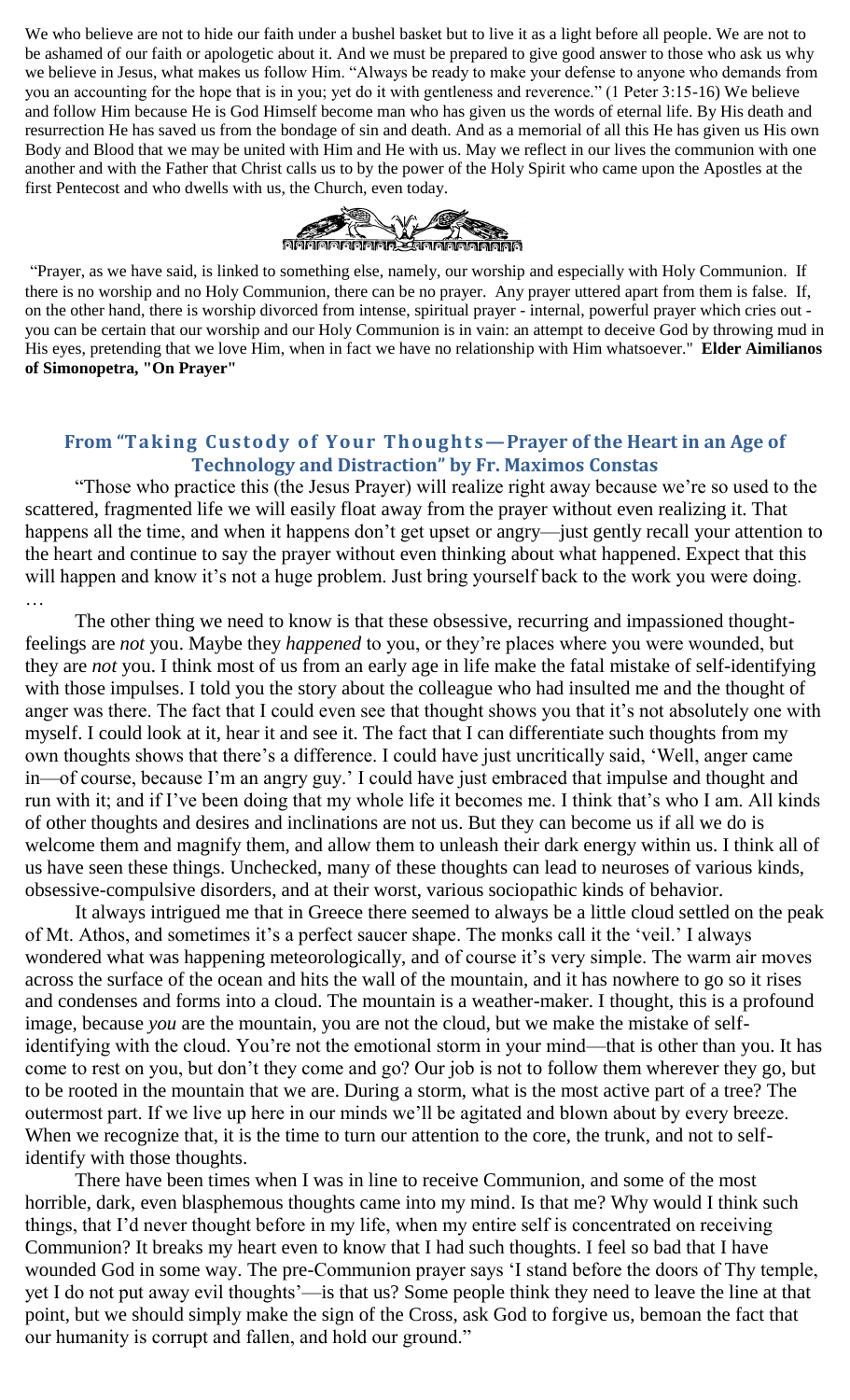We who believe are not to hide our faith under a bushel basket but to live it as a light before all people. We are not to be ashamed of our faith or apologetic about it. And we must be prepared to give good answer to those who ask us why we believe in Jesus, what makes us follow Him. "Always be ready to make your defense to anyone who demands from you an accounting for the hope that is in you; yet do it with gentleness and reverence." (1 Peter 3:15-16) We believe and follow Him because He is God Himself become man who has given us the words of eternal life. By His death and resurrection He has saved us from the bondage of sin and death. And as a memorial of all this He has given us His own Body and Blood that we may be united with Him and He with us. May we reflect in our lives the communion with one another and with the Father that Christ calls us to by the power of the Holy Spirit who came upon the Apostles at the first Pentecost and who dwells with us, the Church, even today.



"Prayer, as we have said, is linked to something else, namely, our worship and especially with Holy Communion. If there is no worship and no Holy Communion, there can be no prayer. Any prayer uttered apart from them is false. If, on the other hand, there is worship divorced from intense, spiritual prayer - internal, powerful prayer which cries out you can be certain that our worship and our Holy Communion is in vain: an attempt to deceive God by throwing mud in His eyes, pretending that we love Him, when in fact we have no relationship with Him whatsoever." **Elder Aimilianos of Simonopetra, "On Prayer"** 

## **From "Taking Custody of Your Thoughts—Prayer of the Heart in an Age of Technology and Distraction" by Fr. Maximos Constas**

"Those who practice this (the Jesus Prayer) will realize right away because we're so used to the scattered, fragmented life we will easily float away from the prayer without even realizing it. That happens all the time, and when it happens don't get upset or angry—just gently recall your attention to the heart and continue to say the prayer without even thinking about what happened. Expect that this will happen and know it's not a huge problem. Just bring yourself back to the work you were doing. …

The other thing we need to know is that these obsessive, recurring and impassioned thoughtfeelings are *not* you. Maybe they *happened* to you, or they're places where you were wounded, but they are *not* you. I think most of us from an early age in life make the fatal mistake of self-identifying with those impulses. I told you the story about the colleague who had insulted me and the thought of anger was there. The fact that I could even see that thought shows you that it's not absolutely one with myself. I could look at it, hear it and see it. The fact that I can differentiate such thoughts from my own thoughts shows that there's a difference. I could have just uncritically said, 'Well, anger came in—of course, because I'm an angry guy.' I could have just embraced that impulse and thought and run with it; and if I've been doing that my whole life it becomes me. I think that's who I am. All kinds of other thoughts and desires and inclinations are not us. But they can become us if all we do is welcome them and magnify them, and allow them to unleash their dark energy within us. I think all of us have seen these things. Unchecked, many of these thoughts can lead to neuroses of various kinds, obsessive-compulsive disorders, and at their worst, various sociopathic kinds of behavior.

It always intrigued me that in Greece there seemed to always be a little cloud settled on the peak of Mt. Athos, and sometimes it's a perfect saucer shape. The monks call it the 'veil.' I always wondered what was happening meteorologically, and of course it's very simple. The warm air moves across the surface of the ocean and hits the wall of the mountain, and it has nowhere to go so it rises and condenses and forms into a cloud. The mountain is a weather-maker. I thought, this is a profound image, because *you* are the mountain, you are not the cloud, but we make the mistake of selfidentifying with the cloud. You're not the emotional storm in your mind—that is other than you. It has come to rest on you, but don't they come and go? Our job is not to follow them wherever they go, but to be rooted in the mountain that we are. During a storm, what is the most active part of a tree? The outermost part. If we live up here in our minds we'll be agitated and blown about by every breeze. When we recognize that, it is the time to turn our attention to the core, the trunk, and not to selfidentify with those thoughts.

There have been times when I was in line to receive Communion, and some of the most horrible, dark, even blasphemous thoughts came into my mind. Is that me? Why would I think such things, that I'd never thought before in my life, when my entire self is concentrated on receiving Communion? It breaks my heart even to know that I had such thoughts. I feel so bad that I have wounded God in some way. The pre-Communion prayer says 'I stand before the doors of Thy temple, yet I do not put away evil thoughts'—is that us? Some people think they need to leave the line at that point, but we should simply make the sign of the Cross, ask God to forgive us, bemoan the fact that our humanity is corrupt and fallen, and hold our ground."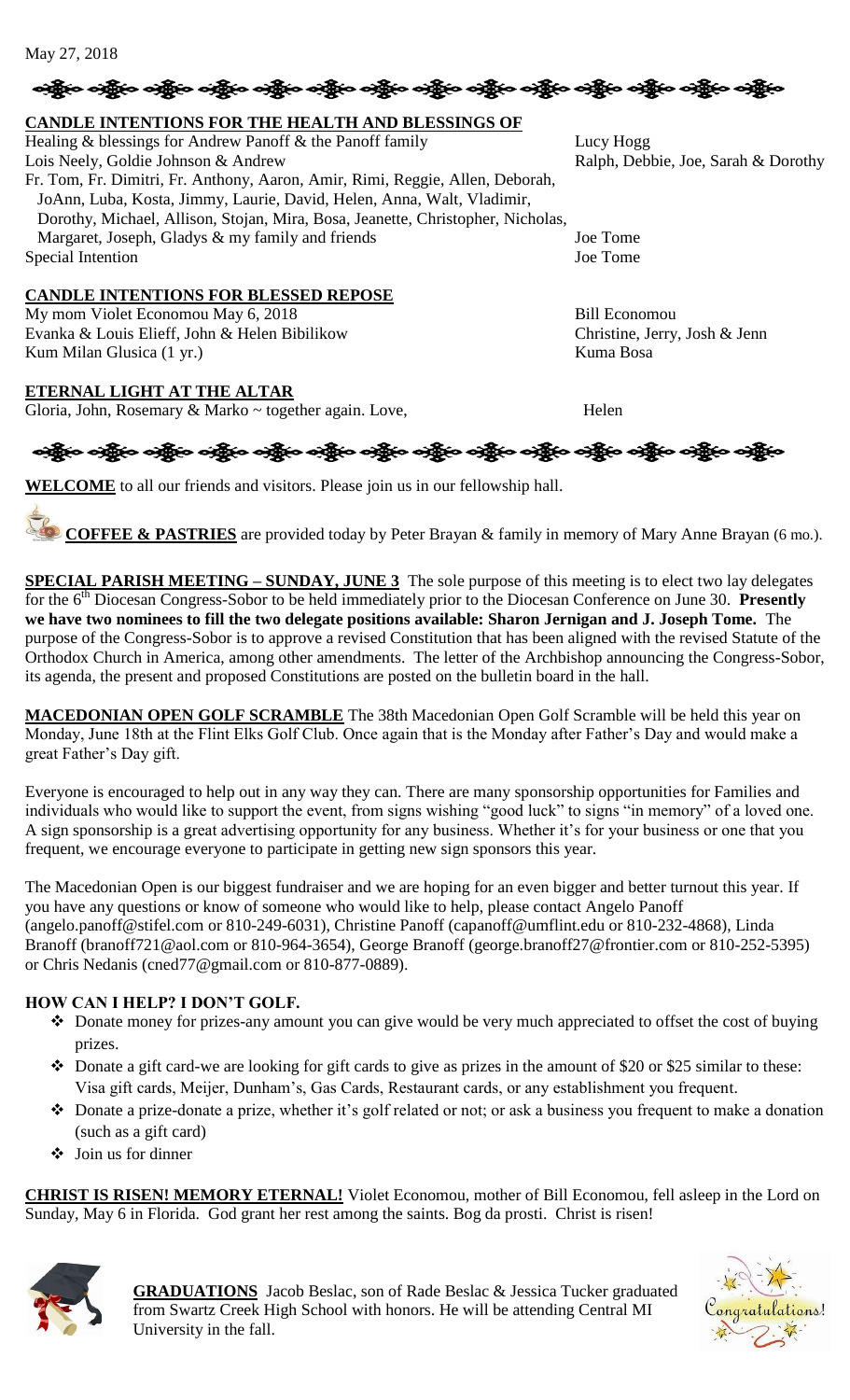```
May 27, 2018
```
## န္ဒိုင္ေပးရွိပ္ေပးရွိပ္ေပးရွိပ္ေပးရွိပ္ေပးရွိပ္ေပးရွိပ္ေပးရွိပ္ေပးရွိပ္ေပးရွိပ္ေပးရွိပ္ေပးရွိပ္ေပးရွိပ္ေပးရွိ

#### **CANDLE INTENTIONS FOR THE HEALTH AND BLESSINGS OF**

Healing & blessings for Andrew Panoff & the Panoff family Lucy Hogg Lois Neely, Goldie Johnson & Andrew Ralph, Debbie, Joe, Sarah & Dorothy Fr. Tom, Fr. Dimitri, Fr. Anthony, Aaron, Amir, Rimi, Reggie, Allen, Deborah, JoAnn, Luba, Kosta, Jimmy, Laurie, David, Helen, Anna, Walt, Vladimir, Dorothy, Michael, Allison, Stojan, Mira, Bosa, Jeanette, Christopher, Nicholas, Margaret, Joseph, Gladys & my family and friends Joe Tome Special Intention Joe Tome

#### **CANDLE INTENTIONS FOR BLESSED REPOSE**

My mom Violet Economou May 6, 2018<br>
Evanka & Louis Elieff, John & Helen Bibilikow<br>
Christine, Jerry, Josh & Jenn Evanka & Louis Elieff, John & Helen Bibilikow Kum Milan Glusica (1 yr.) Kuma Bosa

#### **ETERNAL LIGHT AT THE ALTAR**

Gloria, John, Rosemary  $\&$  Marko  $\sim$  together again. Love, Helen



**WELCOME** to all our friends and visitors. Please join us in our fellowship hall.

**COFFEE & PASTRIES** are provided today by Peter Brayan & family in memory of Mary Anne Brayan (6 mo.).

**SPECIAL PARISH MEETING – SUNDAY, JUNE 3** The sole purpose of this meeting is to elect two lay delegates for the 6<sup>th</sup> Diocesan Congress-Sobor to be held immediately prior to the Diocesan Conference on June 30. **Presently we have two nominees to fill the two delegate positions available: Sharon Jernigan and J. Joseph Tome.** The purpose of the Congress-Sobor is to approve a revised Constitution that has been aligned with the revised Statute of the Orthodox Church in America, among other amendments. The letter of the Archbishop announcing the Congress-Sobor, its agenda, the present and proposed Constitutions are posted on the bulletin board in the hall.

**MACEDONIAN OPEN GOLF SCRAMBLE** The 38th Macedonian Open Golf Scramble will be held this year on Monday, June 18th at the Flint Elks Golf Club. Once again that is the Monday after Father's Day and would make a great Father's Day gift.

Everyone is encouraged to help out in any way they can. There are many sponsorship opportunities for Families and individuals who would like to support the event, from signs wishing "good luck" to signs "in memory" of a loved one. A sign sponsorship is a great advertising opportunity for any business. Whether it's for your business or one that you frequent, we encourage everyone to participate in getting new sign sponsors this year.

The Macedonian Open is our biggest fundraiser and we are hoping for an even bigger and better turnout this year. If you have any questions or know of someone who would like to help, please contact Angelo Panoff (angelo.panoff@stifel.com or 810-249-6031), Christine Panoff (capanoff@umflint.edu or 810-232-4868), Linda Branoff (branoff721@aol.com or 810-964-3654), George Branoff (george.branoff27@frontier.com or 810-252-5395) or Chris Nedanis (cned77@gmail.com or 810-877-0889).

#### **HOW CAN I HELP? I DON'T GOLF.**

- Donate money for prizes-any amount you can give would be very much appreciated to offset the cost of buying prizes.
- Donate a gift card-we are looking for gift cards to give as prizes in the amount of \$20 or \$25 similar to these: Visa gift cards, Meijer, Dunham's, Gas Cards, Restaurant cards, or any establishment you frequent.
- $\bullet$  Donate a prize-donate a prize, whether it's golf related or not; or ask a business you frequent to make a donation (such as a gift card)
- $\div$  Join us for dinner

**CHRIST IS RISEN! MEMORY ETERNAL!** Violet Economou, mother of Bill Economou, fell asleep in the Lord on Sunday, May 6 in Florida. God grant her rest among the saints. Bog da prosti. Christ is risen!



**GRADUATIONS** Jacob Beslac, son of Rade Beslac & Jessica Tucker graduated from Swartz Creek High School with honors. He will be attending Central MI University in the fall.